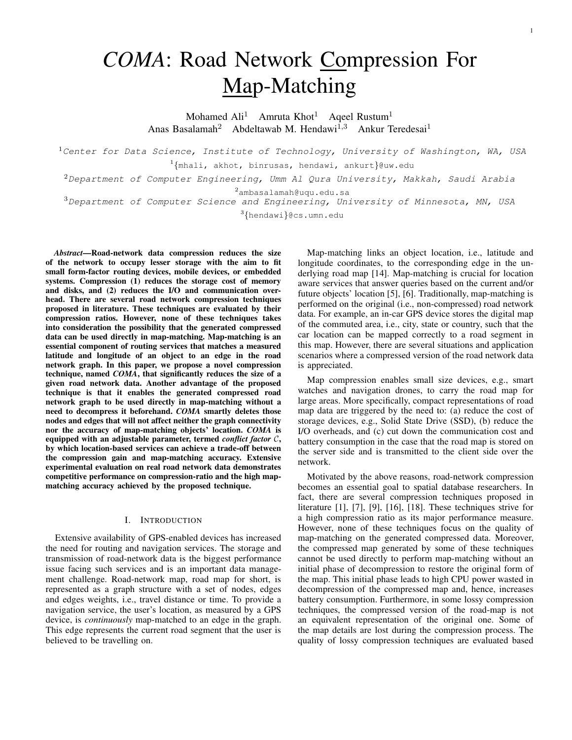# *COMA*: Road Network Compression For Map-Matching

Mohamed  $\text{Ali}^1$  Amruta Khot<sup>1</sup> Aqeel Rustum<sup>1</sup> Anas Basalamah<sup>2</sup> Abdeltawab M. Hendawi<sup>1,3</sup> Ankur Teredesai<sup>1</sup>

 $^1$ Center for Data Science, Institute of Technology, University of Washington, WA, USA <sup>1</sup>{mhali, akhot, binrusas, hendawi, ankurt}@uw.edu

 $2$ Department of Computer Engineering, Umm Al Qura University, Makkah, Saudi Arabia <sup>2</sup>ambasalamah@uqu.edu.sa

<sup>3</sup>Department of Computer Science and Engineering, University of Minnesota, MN, USA

 $^3$ {hendawi}@cs.umn.edu

*Abstract***—Road-network data compression reduces the size of the network to occupy lesser storage with the aim to fit small form-factor routing devices, mobile devices, or embedded systems. Compression (1) reduces the storage cost of memory and disks, and (2) reduces the I/O and communication overhead. There are several road network compression techniques proposed in literature. These techniques are evaluated by their compression ratios. However, none of these techniques takes into consideration the possibility that the generated compressed data can be used directly in map-matching. Map-matching is an essential component of routing services that matches a measured latitude and longitude of an object to an edge in the road network graph. In this paper, we propose a novel compression technique, named** *COMA***, that significantly reduces the size of a given road network data. Another advantage of the proposed technique is that it enables the generated compressed road network graph to be used directly in map-matching without a need to decompress it beforehand.** *COMA* **smartly deletes those nodes and edges that will not affect neither the graph connectivity nor the accuracy of map-matching objects' location.** *COMA* **is equipped with an adjustable parameter, termed** *conflict factor* C**, by which location-based services can achieve a trade-off between the compression gain and map-matching accuracy. Extensive experimental evaluation on real road network data demonstrates competitive performance on compression-ratio and the high mapmatching accuracy achieved by the proposed technique.**

#### I. INTRODUCTION

Extensive availability of GPS-enabled devices has increased the need for routing and navigation services. The storage and transmission of road-network data is the biggest performance issue facing such services and is an important data management challenge. Road-network map, road map for short, is represented as a graph structure with a set of nodes, edges and edges weights, i.e., travel distance or time. To provide a navigation service, the user's location, as measured by a GPS device, is *continuously* map-matched to an edge in the graph. This edge represents the current road segment that the user is believed to be travelling on.

Map-matching links an object location, i.e., latitude and longitude coordinates, to the corresponding edge in the underlying road map [14]. Map-matching is crucial for location aware services that answer queries based on the current and/or future objects' location [5], [6]. Traditionally, map-matching is performed on the original (i.e., non-compressed) road network data. For example, an in-car GPS device stores the digital map of the commuted area, i.e., city, state or country, such that the car location can be mapped correctly to a road segment in this map. However, there are several situations and application scenarios where a compressed version of the road network data is appreciated.

1

Map compression enables small size devices, e.g., smart watches and navigation drones, to carry the road map for large areas. More specifically, compact representations of road map data are triggered by the need to: (a) reduce the cost of storage devices, e.g., Solid State Drive (SSD), (b) reduce the I/O overheads, and (c) cut down the communication cost and battery consumption in the case that the road map is stored on the server side and is transmitted to the client side over the network.

Motivated by the above reasons, road-network compression becomes an essential goal to spatial database researchers. In fact, there are several compression techniques proposed in literature [1], [7], [9], [16], [18]. These techniques strive for a high compression ratio as its major performance measure. However, none of these techniques focus on the quality of map-matching on the generated compressed data. Moreover, the compressed map generated by some of these techniques cannot be used directly to perform map-matching without an initial phase of decompression to restore the original form of the map. This initial phase leads to high CPU power wasted in decompression of the compressed map and, hence, increases battery consumption. Furthermore, in some lossy compression techniques, the compressed version of the road-map is not an equivalent representation of the original one. Some of the map details are lost during the compression process. The quality of lossy compression techniques are evaluated based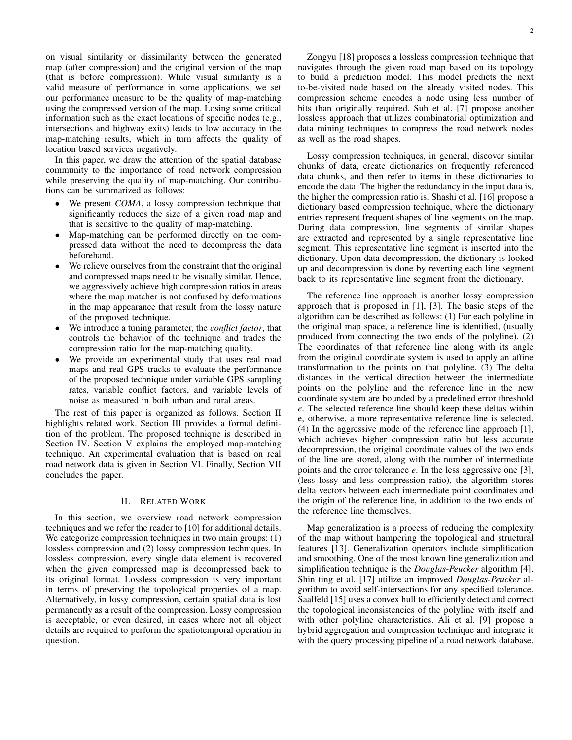on visual similarity or dissimilarity between the generated map (after compression) and the original version of the map (that is before compression). While visual similarity is a valid measure of performance in some applications, we set our performance measure to be the quality of map-matching using the compressed version of the map. Losing some critical information such as the exact locations of specific nodes (e.g., intersections and highway exits) leads to low accuracy in the map-matching results, which in turn affects the quality of location based services negatively.

In this paper, we draw the attention of the spatial database community to the importance of road network compression while preserving the quality of map-matching. Our contributions can be summarized as follows:

- We present *COMA*, a lossy compression technique that significantly reduces the size of a given road map and that is sensitive to the quality of map-matching.
- Map-matching can be performed directly on the compressed data without the need to decompress the data beforehand.
- We relieve ourselves from the constraint that the original and compressed maps need to be visually similar. Hence, we aggressively achieve high compression ratios in areas where the map matcher is not confused by deformations in the map appearance that result from the lossy nature of the proposed technique.
- We introduce a tuning parameter, the *conflict factor*, that controls the behavior of the technique and trades the compression ratio for the map-matching quality.
- We provide an experimental study that uses real road maps and real GPS tracks to evaluate the performance of the proposed technique under variable GPS sampling rates, variable conflict factors, and variable levels of noise as measured in both urban and rural areas.

The rest of this paper is organized as follows. Section II highlights related work. Section III provides a formal definition of the problem. The proposed technique is described in Section IV. Section V explains the employed map-matching technique. An experimental evaluation that is based on real road network data is given in Section VI. Finally, Section VII concludes the paper.

## II. RELATED WORK

In this section, we overview road network compression techniques and we refer the reader to [10] for additional details. We categorize compression techniques in two main groups:  $(1)$ lossless compression and (2) lossy compression techniques. In lossless compression, every single data element is recovered when the given compressed map is decompressed back to its original format. Lossless compression is very important in terms of preserving the topological properties of a map. Alternatively, in lossy compression, certain spatial data is lost permanently as a result of the compression. Lossy compression is acceptable, or even desired, in cases where not all object details are required to perform the spatiotemporal operation in question.

Zongyu [18] proposes a lossless compression technique that navigates through the given road map based on its topology to build a prediction model. This model predicts the next to-be-visited node based on the already visited nodes. This compression scheme encodes a node using less number of bits than originally required. Suh et al. [7] propose another lossless approach that utilizes combinatorial optimization and data mining techniques to compress the road network nodes as well as the road shapes.

Lossy compression techniques, in general, discover similar chunks of data, create dictionaries on frequently referenced data chunks, and then refer to items in these dictionaries to encode the data. The higher the redundancy in the input data is, the higher the compression ratio is. Shashi et al. [16] propose a dictionary based compression technique, where the dictionary entries represent frequent shapes of line segments on the map. During data compression, line segments of similar shapes are extracted and represented by a single representative line segment. This representative line segment is inserted into the dictionary. Upon data decompression, the dictionary is looked up and decompression is done by reverting each line segment back to its representative line segment from the dictionary.

The reference line approach is another lossy compression approach that is proposed in [1], [3]. The basic steps of the algorithm can be described as follows: (1) For each polyline in the original map space, a reference line is identified, (usually produced from connecting the two ends of the polyline). (2) The coordinates of that reference line along with its angle from the original coordinate system is used to apply an affine transformation to the points on that polyline. (3) The delta distances in the vertical direction between the intermediate points on the polyline and the reference line in the new coordinate system are bounded by a predefined error threshold *e*. The selected reference line should keep these deltas within e, otherwise, a more representative reference line is selected. (4) In the aggressive mode of the reference line approach [1], which achieves higher compression ratio but less accurate decompression, the original coordinate values of the two ends of the line are stored, along with the number of intermediate points and the error tolerance *e*. In the less aggressive one [3], (less lossy and less compression ratio), the algorithm stores delta vectors between each intermediate point coordinates and the origin of the reference line, in addition to the two ends of the reference line themselves.

Map generalization is a process of reducing the complexity of the map without hampering the topological and structural features [13]. Generalization operators include simplification and smoothing. One of the most known line generalization and simplification technique is the *Douglas-Peucker* algorithm [4]. Shin ting et al. [17] utilize an improved *Douglas-Peucker* algorithm to avoid self-intersections for any specified tolerance. Saalfeld [15] uses a convex hull to efficiently detect and correct the topological inconsistencies of the polyline with itself and with other polyline characteristics. Ali et al. [9] propose a hybrid aggregation and compression technique and integrate it with the query processing pipeline of a road network database.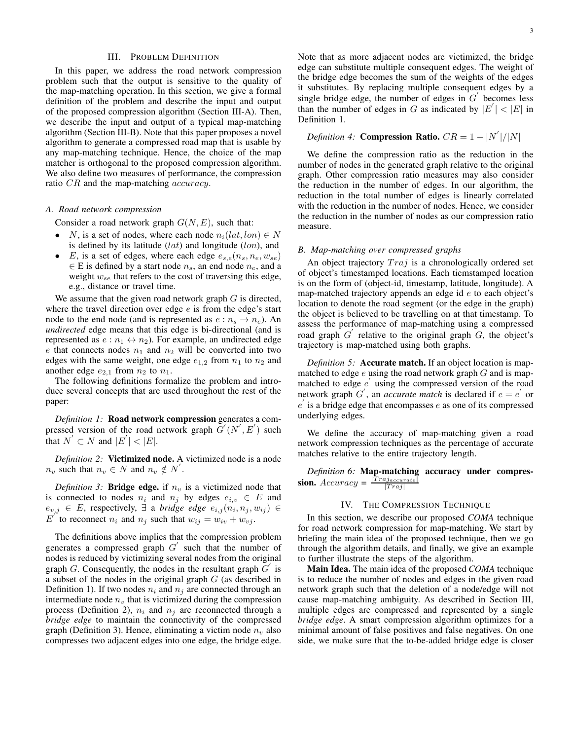#### III. PROBLEM DEFINITION

In this paper, we address the road network compression problem such that the output is sensitive to the quality of the map-matching operation. In this section, we give a formal definition of the problem and describe the input and output of the proposed compression algorithm (Section III-A). Then, we describe the input and output of a typical map-matching algorithm (Section III-B). Note that this paper proposes a novel algorithm to generate a compressed road map that is usable by any map-matching technique. Hence, the choice of the map matcher is orthogonal to the proposed compression algorithm. We also define two measures of performance, the compression ratio CR and the map-matching accuracy.

# *A. Road network compression*

Consider a road network graph  $G(N, E)$ , such that:

- N, is a set of nodes, where each node  $n_i(lat,lon) \in N$ is defined by its latitude  $(lat)$  and longitude  $(lon)$ , and
- E, is a set of edges, where each edge  $e_{s,e}(n_s, n_e, w_{se})$  $\in$  E is defined by a start node  $n_s$ , an end node  $n_e$ , and a weight  $w_{se}$  that refers to the cost of traversing this edge, e.g., distance or travel time.

We assume that the given road network graph  $G$  is directed, where the travel direction over edge  $e$  is from the edge's start node to the end node (and is represented as  $e : n_s \to n_e$ ). An *undirected* edge means that this edge is bi-directional (and is represented as  $e : n_1 \leftrightarrow n_2$ ). For example, an undirected edge  $e$  that connects nodes  $n_1$  and  $n_2$  will be converted into two edges with the same weight, one edge  $e_{1,2}$  from  $n_1$  to  $n_2$  and another edge  $e_{2,1}$  from  $n_2$  to  $n_1$ .

The following definitions formalize the problem and introduce several concepts that are used throughout the rest of the paper:

*Definition 1:* **Road network compression** generates a compressed version of the road network graph  $G'(N', E')$  such that  $N^{'} \subset N$  and  $|E^{'}| < |E|$ .

*Definition 2:* **Victimized node.** A victimized node is a node  $n_v$  such that  $n_v \in N$  and  $n_v \notin N'$ .

*Definition 3:* **Bridge edge.** if  $n_v$  is a victimized node that is connected to nodes  $n_i$  and  $n_j$  by edges  $e_{i,v} \in E$  and  $e_{v,j} \in E$ , respectively,  $\exists$  a *bridge edge*  $e_{i,j}(n_i, n_j, w_{ij}) \in$  $E'$  to reconnect  $n_i$  and  $n_j$  such that  $w_{ij} = w_{iv} + w_{vj}$ .

The definitions above implies that the compression problem generates a compressed graph  $G'$  such that the number of nodes is reduced by victimizing several nodes from the original graph G. Consequently, the nodes in the resultant graph  $G'$  is a subset of the nodes in the original graph G (as described in Definition 1). If two nodes  $n_i$  and  $n_j$  are connected through an intermediate node  $n_v$  that is victimized during the compression process (Definition 2),  $n_i$  and  $n_j$  are reconnected through a *bridge edge* to maintain the connectivity of the compressed graph (Definition 3). Hence, eliminating a victim node  $n_v$  also compresses two adjacent edges into one edge, the bridge edge.

Note that as more adjacent nodes are victimized, the bridge edge can substitute multiple consequent edges. The weight of the bridge edge becomes the sum of the weights of the edges it substitutes. By replacing multiple consequent edges by a single bridge edge, the number of edges in  $G'$  becomes less than the number of edges in G as indicated by  $|E'| < |E|$  in Definition 1.

# *Definition 4:* **Compression Ratio.**  $CR = 1 - |N'|/|N|$

We define the compression ratio as the reduction in the number of nodes in the generated graph relative to the original graph. Other compression ratio measures may also consider the reduction in the number of edges. In our algorithm, the reduction in the total number of edges is linearly correlated with the reduction in the number of nodes. Hence, we consider the reduction in the number of nodes as our compression ratio measure.

#### *B. Map-matching over compressed graphs*

An object trajectory  $Traj$  is a chronologically ordered set of object's timestamped locations. Each tiemstamped location is on the form of (object-id, timestamp, latitude, longitude). A map-matched trajectory appends an edge id  $e$  to each object's location to denote the road segment (or the edge in the graph) the object is believed to be travelling on at that timestamp. To assess the performance of map-matching using a compressed road graph  $G$  relative to the original graph  $G$ , the object's trajectory is map-matched using both graphs.

*Definition 5:* **Accurate match.** If an object location is mapmatched to edge  $e$  using the road network graph  $G$  and is mapmatched to edge  $e^{i}$  using the compressed version of the road network graph  $G'$ , an *accurate match* is declared if  $e = e'$  or  $e'$  is a bridge edge that encompasses  $e$  as one of its compressed underlying edges.

We define the accuracy of map-matching given a road network compression techniques as the percentage of accurate matches relative to the entire trajectory length.

*Definition 6:* **Map-matching accuracy under compres-** $\textbf{ision.} \text{ Accuracy} = \frac{|\overline{Traj_{accurate}}|}{|Traj|}$  $|Traj|$ 

# IV. THE COMPRESSION TECHNIQUE

In this section, we describe our proposed *COMA* technique for road network compression for map-matching. We start by briefing the main idea of the proposed technique, then we go through the algorithm details, and finally, we give an example to further illustrate the steps of the algorithm.

**Main Idea.** The main idea of the proposed *COMA* technique is to reduce the number of nodes and edges in the given road network graph such that the deletion of a node/edge will not cause map-matching ambiguity. As described in Section III, multiple edges are compressed and represented by a single *bridge edge*. A smart compression algorithm optimizes for a minimal amount of false positives and false negatives. On one side, we make sure that the to-be-added bridge edge is closer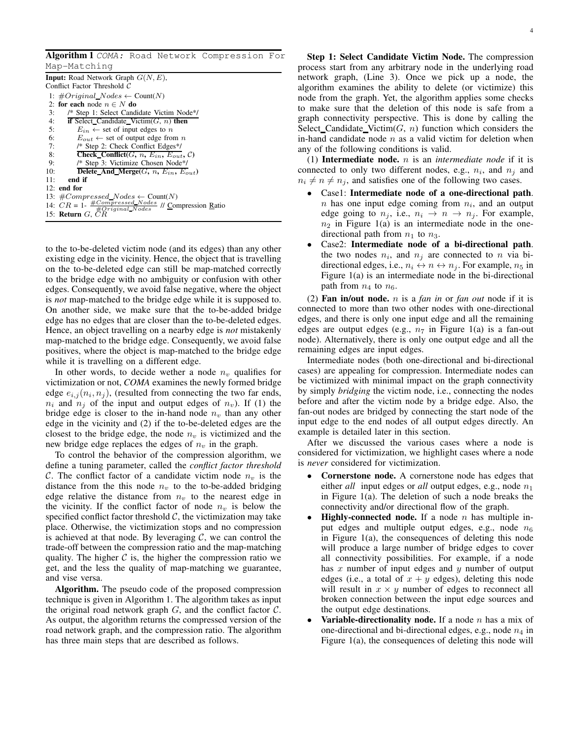**Algorithm 1** COMA: Road Network Compression For Map-Matching

| <b>Input:</b> Road Network Graph $G(N, E)$ ,                                                                                       |
|------------------------------------------------------------------------------------------------------------------------------------|
| Conflict Factor Threshold $\mathcal C$                                                                                             |
| 1: $\#Original\_Nodes \leftarrow Count(N)$                                                                                         |
| 2: for each node $n \in N$ do                                                                                                      |
| 3:<br>/* Step 1: Select Candidate Victim Node*/                                                                                    |
| <b>if</b> Select Candidate Victim( $G$ , $n$ ) then<br>4:                                                                          |
| $E_{in} \leftarrow$ set of input edges to n<br>5:                                                                                  |
| 6:<br>$E_{out} \leftarrow$ set of output edge from n                                                                               |
| /* Step 2: Check Conflict Edges*/<br>7:                                                                                            |
| <b>Check Conflict</b> (G, n, $E_{in}$ , $E_{out}$ , C)<br>8:                                                                       |
| /* Step 3: Victimize Chosen Node*/<br>9:                                                                                           |
| Delete_And_Merge $(G, n, E_{in}, E_{out})$<br>10:                                                                                  |
| 11:<br>end if                                                                                                                      |
| $12:$ end for                                                                                                                      |
|                                                                                                                                    |
| 13: #Compressed_Nodes $\leftarrow$ Count(N)<br>14: $CR = 1$ - $\frac{\#Compressed\ Nodes}{\#Original\ Nodes}$ // Compression Ratio |
| 15: Return $G$ , $CR$                                                                                                              |

to the to-be-deleted victim node (and its edges) than any other existing edge in the vicinity. Hence, the object that is travelling on the to-be-deleted edge can still be map-matched correctly to the bridge edge with no ambiguity or confusion with other edges. Consequently, we avoid false negative, where the object is *not* map-matched to the bridge edge while it is supposed to. On another side, we make sure that the to-be-added bridge edge has no edges that are closer than the to-be-deleted edges. Hence, an object travelling on a nearby edge is *not* mistakenly map-matched to the bridge edge. Consequently, we avoid false positives, where the object is map-matched to the bridge edge while it is travelling on a different edge.

In other words, to decide wether a node  $n_v$  qualifies for victimization or not, *COMA* examines the newly formed bridge edge  $e_{i,j}(n_i, n_j)$ , (resulted from connecting the two far ends,  $n_i$  and  $n_j$  of the input and output edges of  $n_v$ ). If (1) the bridge edge is closer to the in-hand node  $n_v$  than any other edge in the vicinity and (2) if the to-be-deleted edges are the closest to the bridge edge, the node  $n_v$  is victimized and the new bridge edge replaces the edges of  $n_v$  in the graph.

To control the behavior of the compression algorithm, we define a tuning parameter, called the *conflict factor threshold* C. The conflict factor of a candidate victim node  $n_v$  is the distance from the this node  $n_v$  to the to-be-added bridging edge relative the distance from  $n<sub>v</sub>$  to the nearest edge in the vicinity. If the conflict factor of node  $n_v$  is below the specified conflict factor threshold  $C$ , the victimization may take place. Otherwise, the victimization stops and no compression is achieved at that node. By leveraging  $\mathcal{C}$ , we can control the trade-off between the compression ratio and the map-matching quality. The higher  $C$  is, the higher the compression ratio we get, and the less the quality of map-matching we guarantee, and vise versa.

**Algorithm.** The pseudo code of the proposed compression technique is given in Algorithm 1. The algorithm takes as input the original road network graph  $G$ , and the conflict factor  $C$ . As output, the algorithm returns the compressed version of the road network graph, and the compression ratio. The algorithm has three main steps that are described as follows.

**Step 1: Select Candidate Victim Node.** The compression process start from any arbitrary node in the underlying road network graph, (Line 3). Once we pick up a node, the algorithm examines the ability to delete (or victimize) this node from the graph. Yet, the algorithm applies some checks to make sure that the deletion of this node is safe from a graph connectivity perspective. This is done by calling the Select\_Candidate\_Victim $(G, n)$  function which considers the in-hand candidate node  $n$  as a valid victim for deletion when any of the following conditions is valid.

(1) **Intermediate node.** n is an *intermediate node* if it is connected to only two different nodes, e.g.,  $n_i$ , and  $n_j$  and  $n_i \neq n \neq n_j$ , and satisfies one of the following two cases.

- Case1: **Intermediate node of a one-directional path**.  $n$  has one input edge coming from  $n_i$ , and an output edge going to  $n_i$ , i.e.,  $n_i \rightarrow n_i$  +  $n_i$ . For example,  $n_2$  in Figure 1(a) is an intermediate node in the onedirectional path from  $n_1$  to  $n_3$ .
- Case2: **Intermediate node of a bi-directional path**. the two nodes  $n_i$ , and  $n_j$  are connected to n via bidirectional edges, i.e.,  $n_i \leftrightarrow n \leftrightarrow n_j$ . For example,  $n_5$  in Figure 1(a) is an intermediate node in the bi-directional path from  $n_4$  to  $n_6$ .

(2) **Fan in/out node.** n is a *fan in* or *fan out* node if it is connected to more than two other nodes with one-directional edges, and there is only one input edge and all the remaining edges are output edges (e.g.,  $n<sub>7</sub>$  in Figure 1(a) is a fan-out node). Alternatively, there is only one output edge and all the remaining edges are input edges.

Intermediate nodes (both one-directional and bi-directional cases) are appealing for compression. Intermediate nodes can be victimized with minimal impact on the graph connectivity by simply *bridging* the victim node, i.e., connecting the nodes before and after the victim node by a bridge edge. Also, the fan-out nodes are bridged by connecting the start node of the input edge to the end nodes of all output edges directly. An example is detailed later in this section.

After we discussed the various cases where a node is considered for victimization, we highlight cases where a node is *never* considered for victimization.

- **Cornerstone node.** A cornerstone node has edges that either *all* input edges or *all* output edges, e.g., node  $n_1$ in Figure  $1(a)$ . The deletion of such a node breaks the connectivity and/or directional flow of the graph.
- **Highly-connected node.** If a node  $n$  has multiple input edges and multiple output edges, e.g., node  $n_6$ in Figure 1(a), the consequences of deleting this node will produce a large number of bridge edges to cover all connectivity possibilities. For example, if a node has  $x$  number of input edges and  $y$  number of output edges (i.e., a total of  $x + y$  edges), deleting this node will result in  $x \times y$  number of edges to reconnect all broken connection between the input edge sources and the output edge destinations.
- **Variable-directionality node.** If a node  $n$  has a mix of one-directional and bi-directional edges, e.g., node  $n_4$  in Figure 1(a), the consequences of deleting this node will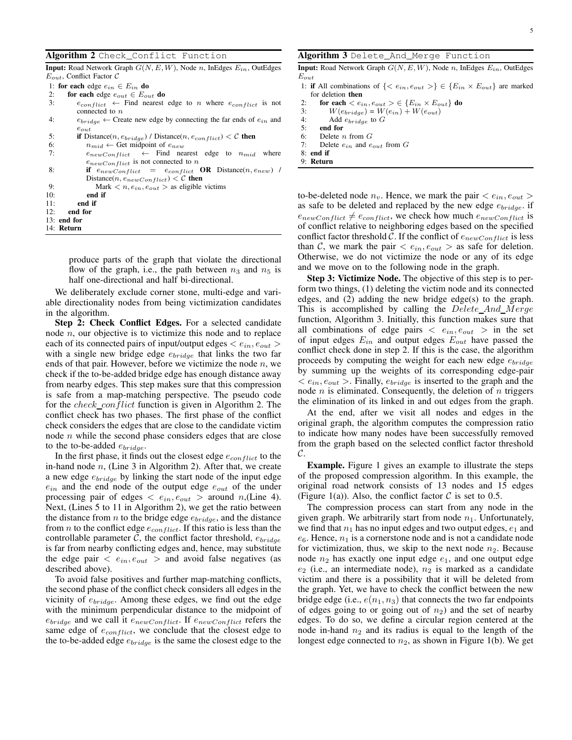#### **Algorithm 2** Check\_Conflict Function

**Input:** Road Network Graph G(N, E, W), Node n, InEdges Ein, OutEdges  $E_{out}$ , Conflict Factor C

```
1: for each edge e_{in} \in E_{in} do<br>2: for each edge e_{out} \in E_{0i}
```
- 2: **for each** edge  $e_{out} \in E_{out}$  **do**<br>3:  $e_{conflict} \leftarrow$  Find nearest
- $e_{conflict}$  ← Find nearest edge to n where  $e_{conflict}$  is not connected to n
- 4:  $e_{bridge} \leftarrow$  Create new edge by connecting the far ends of  $e_{in}$  and  $e_{out}$
- 5: **if** Distance(*n*,  $e_{bridge}$ ) / Distance(*n*,  $e_{conflict}$ ) < C **then** 6:  $n_{mid} \leftarrow$  Get midpoint of  $e_{new}$ <br>7:  $e_{newConflict} \leftarrow$  Find near  $e_{newConflict} \leftarrow$  Find nearest edge to  $n_{mid}$  where  $e_{newConflict}$  is not connected to n 8: **if**  $e_{newConflict} = e_{conflict}$  **OR** Distance(n,  $e_{new}$ ) / Distance( $n$ ,  $e_{newConflict}$ ) <  $C$  **then** 9: Mark  $\langle n, e_{in}, e_{out} \rangle$  as eligible victims 10: **end if** end if 11: **end if** 12: **end for** 13: **end for**
- 14: **Return**
	- produce parts of the graph that violate the directional flow of the graph, i.e., the path between  $n_3$  and  $n_5$  is half one-directional and half bi-directional.

We deliberately exclude corner stone, multi-edge and variable directionality nodes from being victimization candidates in the algorithm.

**Step 2: Check Conflict Edges.** For a selected candidate node n, our objective is to victimize this node and to replace each of its connected pairs of input/output edges  $\langle e_{in}, e_{out} \rangle$ with a single new bridge edge  $e_{bridge}$  that links the two far ends of that pair. However, before we victimize the node  $n$ , we check if the to-be-added bridge edge has enough distance away from nearby edges. This step makes sure that this compression is safe from a map-matching perspective. The pseudo code for the *check\_conflict* function is given in Algorithm 2. The conflict check has two phases. The first phase of the conflict check considers the edges that are close to the candidate victim node  $n$  while the second phase considers edges that are close to the to-be-added  $e_{bridge}$ .

In the first phase, it finds out the closest edge  $e_{conflict}$  to the in-hand node  $n$ , (Line 3 in Algorithm 2). After that, we create a new edge  $e_{bridge}$  by linking the start node of the input edge  $e_{in}$  and the end node of the output edge  $e_{out}$  of the under processing pair of edges  $\langle e_{in}, e_{out} \rangle$  around n, (Line 4). Next, (Lines 5 to 11 in Algorithm 2), we get the ratio between the distance from  $n$  to the bridge edge  $e_{bridge}$ , and the distance from *n* to the conflict edge  $e_{conflict}$ . If this ratio is less than the controllable parameter  $C$ , the conflict factor threshold,  $e_{bridge}$ is far from nearby conflicting edges and, hence, may substitute the edge pair  $\langle e_{in}, e_{out} \rangle$  and avoid false negatives (as described above).

To avoid false positives and further map-matching conflicts, the second phase of the conflict check considers all edges in the vicinity of  $e_{bridge}$ . Among these edges, we find out the edge with the minimum perpendicular distance to the midpoint of  $e_{bridge}$  and we call it  $e_{newConflict}$ . If  $e_{newConflict}$  refers the same edge of  $e_{conflict}$ , we conclude that the closest edge to the to-be-added edge  $e_{bridge}$  is the same the closest edge to the

#### **Algorithm 3** Delete\_And\_Merge Function

**Input:** Road Network Graph  $G(N, E, W)$ , Node n, InEdges  $E_{in}$ , OutEdges  $E_{\tiny out}$ 

1: **if** All combinations of  $\{\}\in \{E_{in} \times E_{out}\}\$  are marked for deletion **then**

2: **for each**  $\langle e_{in}, e_{out} \rangle \in \{E_{in} \times E_{out}\}\)$  **do**<br>3:  $W(e_{bridge}) = W(e_{in}) + W(e_{out})$ 

- $W(e_{bridge}) = W(e_{in}) + W(e_{out})$
- 4: Add  $e_{bridge}$  to  $G$ <br>5: **end for**

5: **end for**

- 6: Delete  $n$  from  $G$
- 7: Delete  $e_{in}$  and  $e_{out}$  from  $G$

8: **end if**

9: **Return**

to-be-deleted node  $n_v$ . Hence, we mark the pair  $\langle e_{in}, e_{out} \rangle$ as safe to be deleted and replaced by the new edge  $e_{bridge}$ . if  $e_{newConflict} \neq e_{conflict}$ , we check how much  $e_{newConflict}$  is of conflict relative to neighboring edges based on the specified conflict factor threshold C. If the conflict of  $e_{newConflict}$  is less than C, we mark the pair  $\langle e_{in}, e_{out} \rangle$  as safe for deletion. Otherwise, we do not victimize the node or any of its edge and we move on to the following node in the graph.

**Step 3: Victimize Node.** The objective of this step is to perform two things, (1) deleting the victim node and its connected edges, and (2) adding the new bridge edge(s) to the graph. This is accomplished by calling the Delete\_And\_Merge function, Algorithm 3. Initially, this function makes sure that all combinations of edge pairs  $\langle e_{in}, e_{out} \rangle$  in the set of input edges  $E_{in}$  and output edges  $E_{out}$  have passed the conflict check done in step 2. If this is the case, the algorithm proceeds by computing the weight for each new edge  $e_{bridge}$ by summing up the weights of its corresponding edge-pair  $\langle e_{in}, e_{out} \rangle$ . Finally,  $e_{bridge}$  is inserted to the graph and the node  $n$  is eliminated. Consequently, the deletion of  $n$  triggers the elimination of its linked in and out edges from the graph.

At the end, after we visit all nodes and edges in the original graph, the algorithm computes the compression ratio to indicate how many nodes have been successfully removed from the graph based on the selected conflict factor threshold C.

**Example.** Figure 1 gives an example to illustrate the steps of the proposed compression algorithm. In this example, the original road network consists of 13 nodes and 15 edges (Figure 1(a)). Also, the conflict factor  $C$  is set to 0.5.

The compression process can start from any node in the given graph. We arbitrarily start from node  $n_1$ . Unfortunately, we find that  $n_1$  has no input edges and two output edges,  $e_1$  and  $e_6$ . Hence,  $n_1$  is a cornerstone node and is not a candidate node for victimization, thus, we skip to the next node  $n_2$ . Because node  $n_2$  has exactly one input edge  $e_1$ , and one output edge  $e_2$  (i.e., an intermediate node),  $n_2$  is marked as a candidate victim and there is a possibility that it will be deleted from the graph. Yet, we have to check the conflict between the new bridge edge (i.e.,  $e(n_1, n_3)$ ) that connects the two far endpoints of edges going to or going out of  $n_2$ ) and the set of nearby edges. To do so, we define a circular region centered at the node in-hand  $n_2$  and its radius is equal to the length of the longest edge connected to  $n_2$ , as shown in Figure 1(b). We get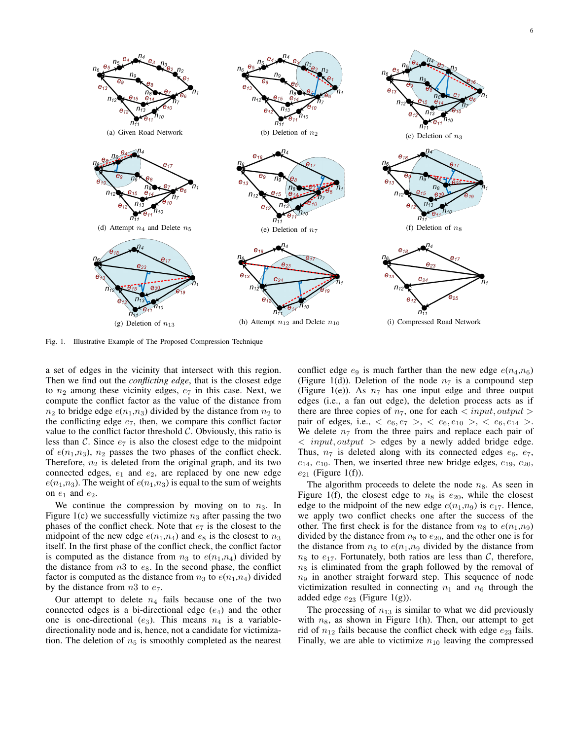

Fig. 1. Illustrative Example of The Proposed Compression Technique

a set of edges in the vicinity that intersect with this region. Then we find out the *conflicting edge*, that is the closest edge to  $n_2$  among these vicinity edges,  $e_7$  in this case. Next, we compute the conflict factor as the value of the distance from  $n_2$  to bridge edge  $e(n_1,n_3)$  divided by the distance from  $n_2$  to the conflicting edge  $e_7$ , then, we compare this conflict factor value to the conflict factor threshold  $C$ . Obviously, this ratio is less than  $C$ . Since  $e_7$  is also the closest edge to the midpoint of  $e(n_1,n_3)$ ,  $n_2$  passes the two phases of the conflict check. Therefore,  $n_2$  is deleted from the original graph, and its two connected edges,  $e_1$  and  $e_2$ , are replaced by one new edge  $e(n_1,n_3)$ . The weight of  $e(n_1,n_3)$  is equal to the sum of weights on  $e_1$  and  $e_2$ .

We continue the compression by moving on to  $n_3$ . In Figure 1(c) we successfully victimize  $n_3$  after passing the two phases of the conflict check. Note that  $e_7$  is the closest to the midpoint of the new edge  $e(n_1,n_4)$  and  $e_8$  is the closest to  $n_3$ itself. In the first phase of the conflict check, the conflict factor is computed as the distance from  $n_3$  to  $e(n_1,n_4)$  divided by the distance from  $n3$  to  $e_8$ . In the second phase, the conflict factor is computed as the distance from  $n_3$  to  $e(n_1,n_4)$  divided by the distance from  $n3$  to  $e_7$ .

Our attempt to delete  $n_4$  fails because one of the two connected edges is a bi-directional edge  $(e_4)$  and the other one is one-directional  $(e_3)$ . This means  $n_4$  is a variabledirectionality node and is, hence, not a candidate for victimization. The deletion of  $n<sub>5</sub>$  is smoothly completed as the nearest

conflict edge  $e_9$  is much farther than the new edge  $e(n_4,n_6)$ (Figure 1(d)). Deletion of the node  $n<sub>7</sub>$  is a compound step (Figure 1(e)). As  $n_7$  has one input edge and three output edges (i.e., a fan out edge), the deletion process acts as if there are three copies of  $n_7$ , one for each  $\langle$  *input, output*  $\rangle$ pair of edges, i.e.,  $\langle e_6, e_7 \rangle, \langle e_6, e_{10} \rangle, \langle e_6, e_{14} \rangle.$ We delete  $n_7$  from the three pairs and replace each pair of  $\langle$  input, output  $>$  edges by a newly added bridge edge. Thus,  $n_7$  is deleted along with its connected edges  $e_6$ ,  $e_7$ ,  $e_{14}$ ,  $e_{10}$ . Then, we inserted three new bridge edges,  $e_{19}$ ,  $e_{20}$ ,  $e_{21}$  (Figure 1(f)).

The algorithm proceeds to delete the node  $n_8$ . As seen in Figure 1(f), the closest edge to  $n_8$  is  $e_{20}$ , while the closest edge to the midpoint of the new edge  $e(n_1,n_9)$  is  $e_{17}$ . Hence, we apply two conflict checks one after the success of the other. The first check is for the distance from  $n_8$  to  $e(n_1,n_9)$ divided by the distance from  $n_8$  to  $e_{20}$ , and the other one is for the distance from  $n_8$  to  $e(n_1,n_9)$  divided by the distance from  $n_8$  to  $e_{17}$ . Fortunately, both ratios are less than C, therefore,  $n_8$  is eliminated from the graph followed by the removal of  $n<sub>9</sub>$  in another straight forward step. This sequence of node victimization resulted in connecting  $n_1$  and  $n_6$  through the added edge  $e_{23}$  (Figure 1(g)).

The processing of  $n_{13}$  is similar to what we did previously with  $n_8$ , as shown in Figure 1(h). Then, our attempt to get rid of  $n_{12}$  fails because the conflict check with edge  $e_{23}$  fails. Finally, we are able to victimize  $n_{10}$  leaving the compressed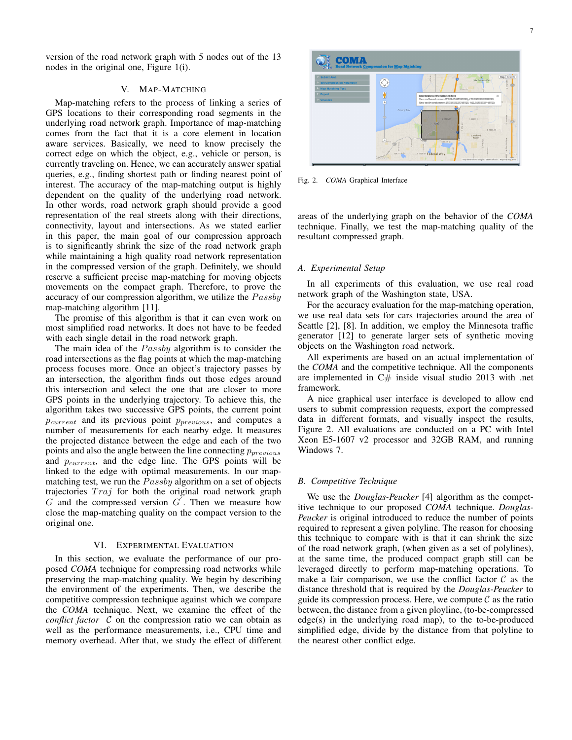version of the road network graph with 5 nodes out of the 13 nodes in the original one, Figure 1(i).

#### V. MAP-MATCHING

Map-matching refers to the process of linking a series of GPS locations to their corresponding road segments in the underlying road network graph. Importance of map-matching comes from the fact that it is a core element in location aware services. Basically, we need to know precisely the correct edge on which the object, e.g., vehicle or person, is currently traveling on. Hence, we can accurately answer spatial queries, e.g., finding shortest path or finding nearest point of interest. The accuracy of the map-matching output is highly dependent on the quality of the underlying road network. In other words, road network graph should provide a good representation of the real streets along with their directions, connectivity, layout and intersections. As we stated earlier in this paper, the main goal of our compression approach is to significantly shrink the size of the road network graph while maintaining a high quality road network representation in the compressed version of the graph. Definitely, we should reserve a sufficient precise map-matching for moving objects movements on the compact graph. Therefore, to prove the accuracy of our compression algorithm, we utilize the  $Passby$ map-matching algorithm [11].

The promise of this algorithm is that it can even work on most simplified road networks. It does not have to be feeded with each single detail in the road network graph.

The main idea of the  $Passby$  algorithm is to consider the road intersections as the flag points at which the map-matching process focuses more. Once an object's trajectory passes by an intersection, the algorithm finds out those edges around this intersection and select the one that are closer to more GPS points in the underlying trajectory. To achieve this, the algorithm takes two successive GPS points, the current point  $p_{current}$  and its previous point  $p_{previous}$ , and computes a number of measurements for each nearby edge. It measures the projected distance between the edge and each of the two points and also the angle between the line connecting  $p_{previous}$ and  $p_{current}$ , and the edge line. The GPS points will be linked to the edge with optimal measurements. In our mapmatching test, we run the  $Passby$  algorithm on a set of objects trajectories  $Traj$  for both the original road network graph  $G$  and the compressed version  $G'$ . Then we measure how close the map-matching quality on the compact version to the original one.

# VI. EXPERIMENTAL EVALUATION

In this section, we evaluate the performance of our proposed *COMA* technique for compressing road networks while preserving the map-matching quality. We begin by describing the environment of the experiments. Then, we describe the competitive compression technique against which we compare the *COMA* technique. Next, we examine the effect of the *conflict factor* C on the compression ratio we can obtain as well as the performance measurements, i.e., CPU time and memory overhead. After that, we study the effect of different



Fig. 2. *COMA* Graphical Interface

areas of the underlying graph on the behavior of the *COMA* technique. Finally, we test the map-matching quality of the resultant compressed graph.

#### *A. Experimental Setup*

In all experiments of this evaluation, we use real road network graph of the Washington state, USA.

For the accuracy evaluation for the map-matching operation, we use real data sets for cars trajectories around the area of Seattle [2], [8]. In addition, we employ the Minnesota traffic generator [12] to generate larger sets of synthetic moving objects on the Washington road network.

All experiments are based on an actual implementation of the *COMA* and the competitive technique. All the components are implemented in  $C#$  inside visual studio 2013 with .net framework.

A nice graphical user interface is developed to allow end users to submit compression requests, export the compressed data in different formats, and visually inspect the results, Figure 2. All evaluations are conducted on a PC with Intel Xeon E5-1607 v2 processor and 32GB RAM, and running Windows 7

# *B. Competitive Technique*

We use the *Douglas-Peucker* [4] algorithm as the competitive technique to our proposed *COMA* technique. *Douglas-Peucker* is original introduced to reduce the number of points required to represent a given polyline. The reason for choosing this technique to compare with is that it can shrink the size of the road network graph, (when given as a set of polylines), at the same time, the produced compact graph still can be leveraged directly to perform map-matching operations. To make a fair comparison, we use the conflict factor  $C$  as the distance threshold that is required by the *Douglas-Peucker* to guide its compression process. Here, we compute  $\mathcal C$  as the ratio between, the distance from a given ployline, (to-be-compressed edge(s) in the underlying road map), to the to-be-produced simplified edge, divide by the distance from that polyline to the nearest other conflict edge.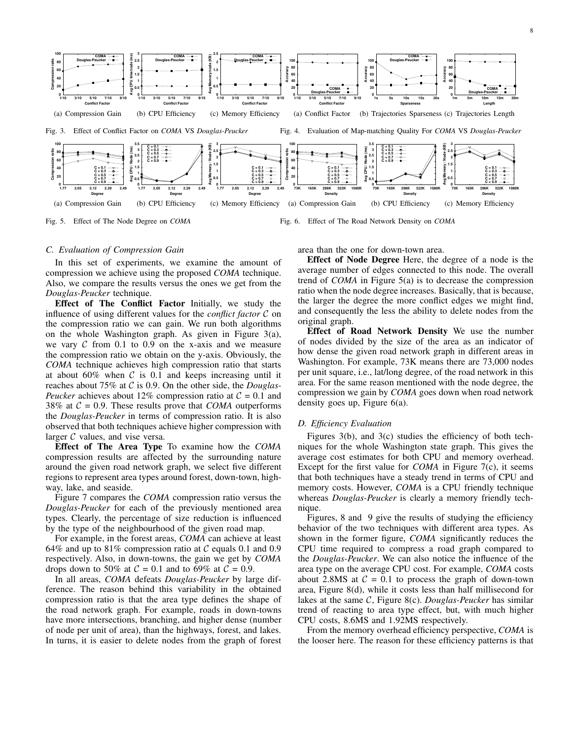

Fig. 5. Effect of The Node Degree on *COMA*

Fig. 6. Effect of The Road Network Density on *COMA*

#### *C. Evaluation of Compression Gain*

In this set of experiments, we examine the amount of compression we achieve using the proposed *COMA* technique. Also, we compare the results versus the ones we get from the *Douglas-Peucker* technique.

**Effect of The Conflict Factor** Initially, we study the influence of using different values for the *conflict factor* C on the compression ratio we can gain. We run both algorithms on the whole Washington graph. As given in Figure 3(a), we vary  $C$  from 0.1 to 0.9 on the x-axis and we measure the compression ratio we obtain on the y-axis. Obviously, the *COMA* technique achieves high compression ratio that starts at about  $60\%$  when  $C$  is 0.1 and keeps increasing until it reaches about 75% at C is 0.9. On the other side, the *Douglas-Peucker* achieves about 12% compression ratio at  $C = 0.1$  and 38% at  $C = 0.9$ . These results prove that *COMA* outperforms the *Douglas-Peucker* in terms of compression ratio. It is also observed that both techniques achieve higher compression with larger  $C$  values, and vise versa.

**Effect of The Area Type** To examine how the *COMA* compression results are affected by the surrounding nature around the given road network graph, we select five different regions to represent area types around forest, down-town, highway, lake, and seaside.

Figure 7 compares the *COMA* compression ratio versus the *Douglas-Peucker* for each of the previously mentioned area types. Clearly, the percentage of size reduction is influenced by the type of the neighbourhood of the given road map.

For example, in the forest areas, *COMA* can achieve at least 64% and up to 81% compression ratio at  $C$  equals 0.1 and 0.9 respectively. Also, in down-towns, the gain we get by *COMA* drops down to 50% at  $C = 0.1$  and to 69% at  $C = 0.9$ .

In all areas, *COMA* defeats *Douglas-Peucker* by large difference. The reason behind this variability in the obtained compression ratio is that the area type defines the shape of the road network graph. For example, roads in down-towns have more intersections, branching, and higher dense (number of node per unit of area), than the highways, forest, and lakes. In turns, it is easier to delete nodes from the graph of forest area than the one for down-town area.

**Effect of Node Degree** Here, the degree of a node is the average number of edges connected to this node. The overall trend of *COMA* in Figure 5(a) is to decrease the compression ratio when the node degree increases. Basically, that is because, the larger the degree the more conflict edges we might find, and consequently the less the ability to delete nodes from the original graph.

**Effect of Road Network Density** We use the number of nodes divided by the size of the area as an indicator of how dense the given road network graph in different areas in Washington. For example, 73K means there are 73,000 nodes per unit square, i.e., lat/long degree, of the road network in this area. For the same reason mentioned with the node degree, the compression we gain by *COMA* goes down when road network density goes up, Figure 6(a).

#### *D. Efficiency Evaluation*

Figures 3(b), and 3(c) studies the efficiency of both techniques for the whole Washington state graph. This gives the average cost estimates for both CPU and memory overhead. Except for the first value for *COMA* in Figure 7(c), it seems that both techniques have a steady trend in terms of CPU and memory costs. However, *COMA* is a CPU friendly technique whereas *Douglas-Peucker* is clearly a memory friendly technique.

Figures, 8 and 9 give the results of studying the efficiency behavior of the two techniques with different area types. As shown in the former figure, *COMA* significantly reduces the CPU time required to compress a road graph compared to the *Douglas-Peucker*. We can also notice the influence of the area type on the average CPU cost. For example, *COMA* costs about 2.8MS at  $C = 0.1$  to process the graph of down-town area, Figure 8(d), while it costs less than half millisecond for lakes at the same C, Figure 8(c). *Douglas-Peucker* has similar trend of reacting to area type effect, but, with much higher CPU costs, 8.6MS and 1.92MS respectively.

From the memory overhead efficiency perspective, *COMA* is the looser here. The reason for these efficiency patterns is that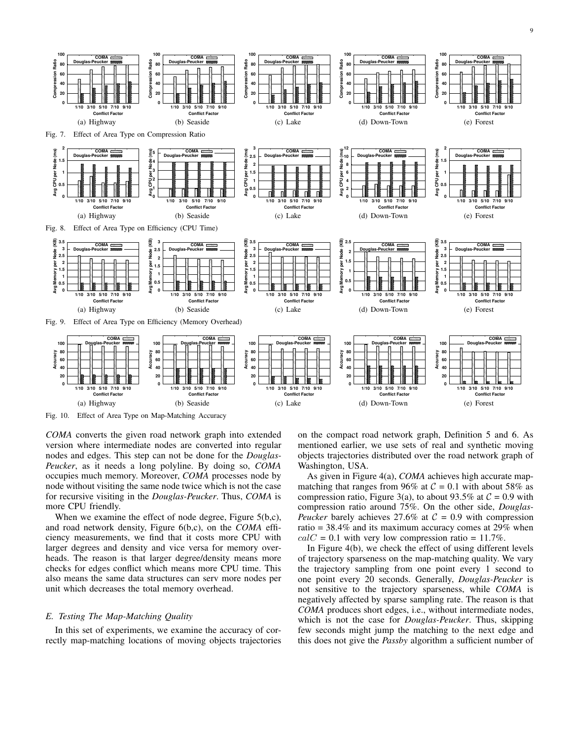

Fig. 10. Effect of Area Type on Map-Matching Accuracy

*COMA* converts the given road network graph into extended version where intermediate nodes are converted into regular nodes and edges. This step can not be done for the *Douglas-Peucker*, as it needs a long polyline. By doing so, *COMA* occupies much memory. Moreover, *COMA* processes node by node without visiting the same node twice which is not the case for recursive visiting in the *Douglas-Peucker*. Thus, *COMA* is more CPU friendly.

When we examine the effect of node degree, Figure 5(b,c), and road network density, Figure 6(b,c), on the *COMA* efficiency measurements, we find that it costs more CPU with larger degrees and density and vice versa for memory overheads. The reason is that larger degree/density means more checks for edges conflict which means more CPU time. This also means the same data structures can serv more nodes per unit which decreases the total memory overhead.

# *E. Testing The Map-Matching Quality*

In this set of experiments, we examine the accuracy of correctly map-matching locations of moving objects trajectories on the compact road network graph, Definition 5 and 6. As mentioned earlier, we use sets of real and synthetic moving objects trajectories distributed over the road network graph of Washington, USA.

As given in Figure 4(a), *COMA* achieves high accurate mapmatching that ranges from 96% at  $C = 0.1$  with about 58% as compression ratio, Figure 3(a), to about 93.5% at  $C = 0.9$  with compression ratio around 75%. On the other side, *Douglas-Peucker* barely achieves 27.6% at  $C = 0.9$  with compression ratio =  $38.4\%$  and its maximum accuracy comes at 29% when  $calC = 0.1$  with very low compression ratio = 11.7%.

In Figure 4(b), we check the effect of using different levels of trajectory sparseness on the map-matching quality. We vary the trajectory sampling from one point every 1 second to one point every 20 seconds. Generally, *Douglas-Peucker* is not sensitive to the trajectory sparseness, while *COMA* is negatively affected by sparse sampling rate. The reason is that *COMA* produces short edges, i.e., without intermediate nodes, which is not the case for *Douglas-Peucker*. Thus, skipping few seconds might jump the matching to the next edge and this does not give the *Passby* algorithm a sufficient number of